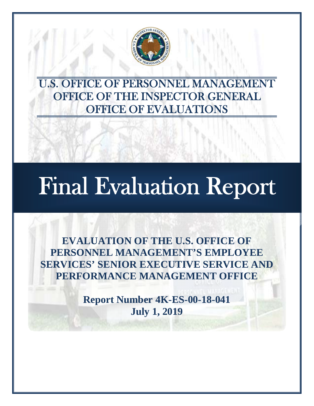

U.S. OFFICE OF PERSONNEL MANAGEMENT OFFICE OF THE INSPECTOR GENERAL OFFICE OF EVALUATIONS

# Final Evaluation Report

֚֞

**EVALUATION OF THE U.S. OFFICE OF PERSONNEL MANAGEMENT'S EMPLOYEE SERVICES' SENIOR EXECUTIVE SERVICE AND PERFORMANCE MANAGEMENT OFFICE** 

> **Report Number 4K-ES-00-18-041 July 1, 2019**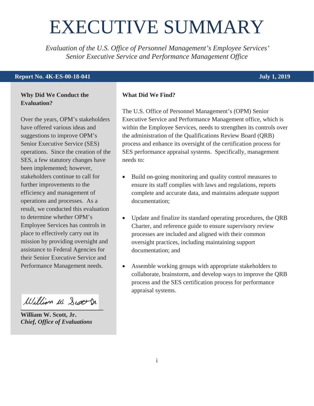## <span id="page-1-0"></span>EXECUTIVE SUMMARY

*Evaluation of the U.S. Office of Personnel Management's Employee Services' Senior Executive Service and Performance Management Office* 

#### **Report No. 4K-ES-00-18-041** July 1, 2019

#### **Why Did We Conduct the Evaluation?**

Over the years, OPM's stakeholders have offered various ideas and suggestions to improve OPM's Senior Executive Service (SES) operations. Since the creation of the SES, a few statutory changes have been implemented; however, stakeholders continue to call for further improvements to the efficiency and management of operations and processes. As a result, we conducted this evaluation to determine whether OPM's Employee Services has controls in place to effectively carry out its mission by providing oversight and assistance to Federal Agencies for their Senior Executive Service and Performance Management needs.

William W. Scott Dr.

**William W. Scott, Jr.**  *Chief, Office of Evaluations* 

#### **What Did We Find?**

The U.S. Office of Personnel Management's (OPM) Senior Executive Service and Performance Management office, which is within the Employee Services, needs to strengthen its controls over the administration of the Qualifications Review Board (QRB) process and enhance its oversight of the certification process for SES performance appraisal systems. Specifically, management needs to:

- Build on-going monitoring and quality control measures to ensure its staff complies with laws and regulations, reports complete and accurate data, and maintains adequate support documentation;
- Update and finalize its standard operating procedures, the QRB Charter, and reference guide to ensure supervisory review processes are included and aligned with their common oversight practices, including maintaining support documentation; and
- $\bullet$  Assemble working groups with appropriate stakeholders to collaborate, brainstorm, and develop ways to improve the QRB process and the SES certification process for performance appraisal systems.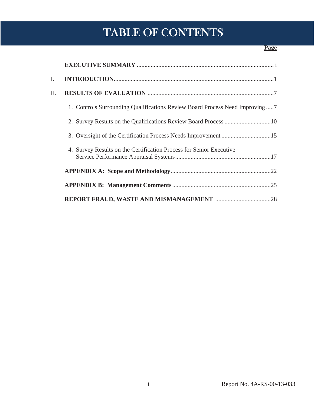## TABLE OF CONTENTS

#### **Page**

| I.  |                                                                             |
|-----|-----------------------------------------------------------------------------|
| II. |                                                                             |
|     | 1. Controls Surrounding Qualifications Review Board Process Need Improving7 |
|     |                                                                             |
|     |                                                                             |
|     | 4. Survey Results on the Certification Process for Senior Executive         |
|     |                                                                             |
|     |                                                                             |
|     |                                                                             |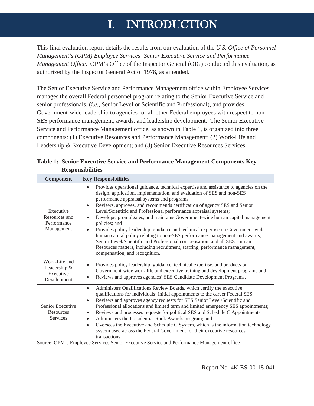## I. INTRODUCTION

<span id="page-3-0"></span>This final evaluation report details the results from our evaluation of the *U.S. Office of Personnel Management's (OPM) Employee Services' Senior Executive Service and Performance Management Office*. OPM's Office of the Inspector General (OIG) conducted this evaluation, as authorized by the Inspector General Act of 1978, as amended.

The Senior Executive Service and Performance Management office within Employee Services manages the overall Federal personnel program relating to the Senior Executive Service and senior professionals, (*i.e.*, Senior Level or Scientific and Professional), and provides Government-wide leadership to agencies for all other Federal employees with respect to non-SES performance management, awards, and leadership development. The Senior Executive Service and Performance Management office, as shown in Table 1, is organized into three components: (1) Executive Resources and Performance Management; (2) Work-Life and Leadership & Executive Development; and (3) Senior Executive Resources Services.

| <b>Component</b>                                          | <b>Key Responsibilities</b>                                                                                                                                                                                                                                                                                                                                                                                                                                                                                                                                                                                                                                                                                                                                                                                                                                           |
|-----------------------------------------------------------|-----------------------------------------------------------------------------------------------------------------------------------------------------------------------------------------------------------------------------------------------------------------------------------------------------------------------------------------------------------------------------------------------------------------------------------------------------------------------------------------------------------------------------------------------------------------------------------------------------------------------------------------------------------------------------------------------------------------------------------------------------------------------------------------------------------------------------------------------------------------------|
| Executive<br>Resources and<br>Performance<br>Management   | Provides operational guidance, technical expertise and assistance to agencies on the<br>$\bullet$<br>design, application, implementation, and evaluation of SES and non-SES<br>performance appraisal systems and programs;<br>Reviews, approves, and recommends certification of agency SES and Senior<br>Level/Scientific and Professional performance appraisal systems;<br>Develops, promulgates, and maintains Government-wide human capital management<br>$\bullet$<br>policies; and<br>Provides policy leadership, guidance and technical expertise on Government-wide<br>$\bullet$<br>human capital policy relating to non-SES performance management and awards,<br>Senior Level/Scientific and Professional compensation, and all SES Human<br>Resources matters, including recruitment, staffing, performance management,<br>compensation, and recognition. |
| Work-Life and<br>Leadership &<br>Executive<br>Development | Provides policy leadership, guidance, technical expertise, and products on<br>Government-wide work-life and executive training and development programs and<br>Reviews and approves agencies' SES Candidate Development Programs.                                                                                                                                                                                                                                                                                                                                                                                                                                                                                                                                                                                                                                     |
| Senior Executive<br>Resources<br>Services                 | Administers Qualifications Review Boards, which certify the executive<br>$\bullet$<br>qualifications for individuals' initial appointments to the career Federal SES;<br>Reviews and approves agency requests for SES Senior Level/Scientific and<br>$\bullet$<br>Professional allocations and limited term and limited emergency SES appointments;<br>Reviews and processes requests for political SES and Schedule C Appointments;<br>٠<br>Administers the Presidential Rank Awards program; and<br>$\bullet$<br>Oversees the Executive and Schedule C System, which is the information technology<br>$\bullet$<br>system used across the Federal Government for their executive resources<br>transactions.                                                                                                                                                         |

**Table 1: Senior Executive Service and Performance Management Components Key Responsibilities** 

Source: OPM's Employee Services Senior Executive Service and Performance Management office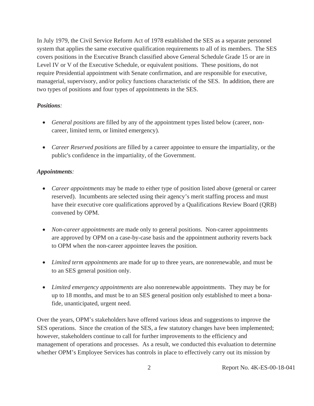In July 1979, the Civil Service Reform Act of 1978 established the SES as a separate personnel system that applies the same executive qualification requirements to all of its members. The SES covers positions in the Executive Branch classified above General Schedule Grade 15 or are in Level IV or V of the Executive Schedule, or equivalent positions. These positions, do not require Presidential appointment with Senate confirmation, and are responsible for executive, managerial, supervisory, and/or policy functions characteristic of the SES. In addition, there are two types of positions and four types of appointments in the SES.

#### *Positions:*

- *General positions* are filled by any of the appointment types listed below (career, noncareer, limited term, or limited emergency).
- *Career Reserved positions* are filled by a career appointee to ensure the impartiality, or the public's confidence in the impartiality, of the Government.

#### *Appointments:*

- *Career appointments* may be made to either type of position listed above (general or career reserved). Incumbents are selected using their agency's merit staffing process and must have their executive core qualifications approved by a Qualifications Review Board (QRB) convened by OPM.
- *Non-career appointments* are made only to general positions. Non-career appointments are approved by OPM on a case-by-case basis and the appointment authority reverts back to OPM when the non-career appointee leaves the position.
- *Limited term appointments* are made for up to three years, are nonrenewable, and must be to an SES general position only.
- *Limited emergency appointments* are also nonrenewable appointments. They may be for up to 18 months, and must be to an SES general position only established to meet a bonafide, unanticipated, urgent need.

Over the years, OPM's stakeholders have offered various ideas and suggestions to improve the SES operations. Since the creation of the SES, a few statutory changes have been implemented; however, stakeholders continue to call for further improvements to the efficiency and management of operations and processes. As a result, we conducted this evaluation to determine whether OPM's Employee Services has controls in place to effectively carry out its mission by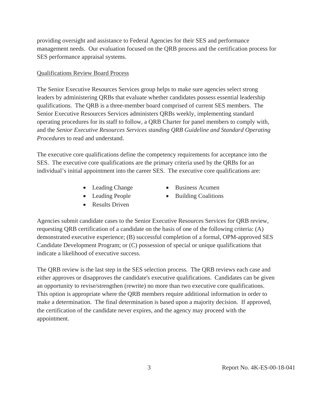providing oversight and assistance to Federal Agencies for their SES and performance management needs. Our evaluation focused on the QRB process and the certification process for SES performance appraisal systems.

#### Qualifications Review Board Process

The Senior Executive Resources Services group helps to make sure agencies select strong leaders by administering QRBs that evaluate whether candidates possess essential leadership qualifications. The QRB is a three-member board comprised of current SES members. The Senior Executive Resources Services administers QRBs weekly, implementing standard operating procedures for its staff to follow, a QRB Charter for panel members to comply with, and the *Senior Executive Resources Services standing QRB Guideline and Standard Operating Procedures* to read and understand.

The executive core qualifications define the competency requirements for acceptance into the SES. The executive core qualifications are the primary criteria used by the QRBs for an individual's initial appointment into the career SES. The executive core qualifications are:

- 
- 
- $\bullet$  Results Driven
- Leading Change Business Acumen
- Leading People Building Coalitions

Agencies submit candidate cases to the Senior Executive Resources Services for QRB review, requesting QRB certification of a candidate on the basis of one of the following criteria: (A) demonstrated executive experience; (B) successful completion of a formal, OPM-approved SES Candidate Development Program; or (C) possession of special or unique qualifications that indicate a likelihood of executive success.

The QRB review is the last step in the SES selection process. The QRB reviews each case and either approves or disapproves the candidate's executive qualifications. Candidates can be given an opportunity to revise/strengthen (rewrite) no more than two executive core qualifications. This option is appropriate where the QRB members require additional information in order to make a determination. The final determination is based upon a majority decision. If approved, the certification of the candidate never expires, and the agency may proceed with the appointment.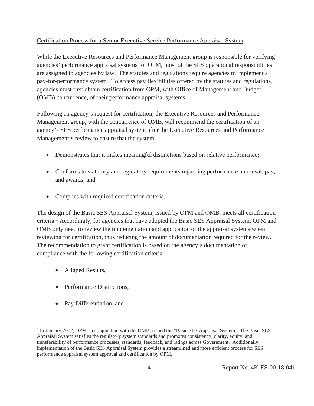#### Certification Process for a Senior Executive Service Performance Appraisal System

While the Executive Resources and Performance Management group is responsible for verifying agencies' performance appraisal systems for OPM, most of the SES operational responsibilities are assigned to agencies by law. The statutes and regulations require agencies to implement a pay-for-performance system. To access pay flexibilities offered by the statutes and regulations, agencies must first obtain certification from OPM, with Office of Management and Budget (OMB) concurrence, of their performance appraisal systems.

Following an agency's request for certification, the Executive Resources and Performance Management group, with the concurrence of OMB, will recommend the certification of an agency's SES performance appraisal system after the Executive Resources and Performance Management's review to ensure that the system:

- Demonstrates that it makes meaningful distinctions based on relative performance;
- Conforms to statutory and regulatory requirements regarding performance appraisal, pay, and awards; and
- $\bullet$  Complies with required certification criteria.

The design of the Basic SES Appraisal System, issued by OPM and OMB, meets all certification criteria.<sup>1</sup> Accordingly, for agencies that have adopted the Basic SES Appraisal System, OPM and OMB only need to review the implementation and application of the appraisal systems when reviewing for certification, thus reducing the amount of documentation required for the review. The recommendation to grant certification is based on the agency's documentation of compliance with the following certification criteria:

• Aligned Results,

 $\overline{a}$ 

- Performance Distinctions.
- Pay Differentiation, and

<sup>&</sup>lt;sup>1</sup> In January 2012, OPM, in conjunction with the OMB, issued the "Basic SES Appraisal System." The Basic SES Appraisal System satisfies the regulatory system standards and promotes consistency, clarity, equity, and transferability of performance processes, standards, feedback, and ratings across Government. Additionally, implementation of the Basic SES Appraisal System provides a streamlined and more efficient process for SES performance appraisal system approval and certification by OPM.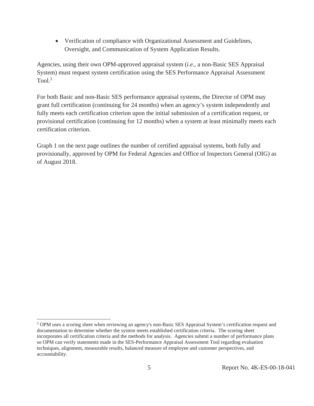• Verification of compliance with Organizational Assessment and Guidelines, Oversight, and Communication of System Application Results.

Agencies, using their own OPM-approved appraisal system (*i.e*., a non-Basic SES Appraisal System) must request system certification using the SES Performance Appraisal Assessment Tool $^2$ 

For both Basic and non-Basic SES performance appraisal systems, the Director of OPM may grant full certification (continuing for 24 months) when an agency's system independently and fully meets each certification criterion upon the initial submission of a certification request, or provisional certification (continuing for 12 months) when a system at least minimally meets each certification criterion.

Graph 1 on the next page outlines the number of certified appraisal systems, both fully and provisionally, approved by OPM for Federal Agencies and Office of Inspectors General (OIG) as of August 2018.

 $\overline{a}$ 

<sup>&</sup>lt;sup>2</sup> OPM uses a scoring sheet when reviewing an agency's non-Basic SES Appraisal System's certification request and documentation to determine whether the system meets established certification criteria. The scoring sheet incorporates all certification criteria and the methods for analysis. Agencies submit a number of performance plans so OPM can verify statements made in the SES-Performance Appraisal Assessment Tool regarding evaluation techniques, alignment, measurable results, balanced measure of employee and customer perspectives, and accountability.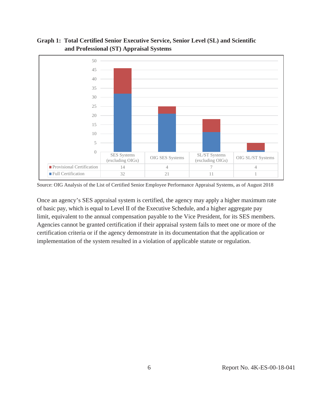

#### **Graph 1: Total Certified Senior Executive Service, Senior Level (SL) and Scientific and Professional (ST) Appraisal Systems**

Source: OIG Analysis of the List of Certified Senior Employee Performance Appraisal Systems, as of August 2018

 Once an agency's SES appraisal system is certified, the agency may apply a higher maximum rate of basic pay, which is equal to Level II of the Executive Schedule, and a higher aggregate pay limit, equivalent to the annual compensation payable to the Vice President, for its SES members. Agencies cannot be granted certification if their appraisal system fails to meet one or more of the certification criteria or if the agency demonstrate in its documentation that the application or implementation of the system resulted in a violation of applicable statute or regulation.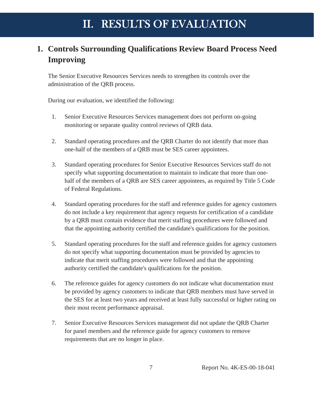### <span id="page-9-0"></span>**1. Controls Surrounding Qualifications Review Board Process Need Improving**

The Senior Executive Resources Services needs to strengthen its controls over the administration of the QRB process.

During our evaluation, we identified the following**:** 

- 1. Senior Executive Resources Services management does not perform on-going monitoring or separate quality control reviews of QRB data.
- 2. Standard operating procedures and the QRB Charter do not identify that more than one-half of the members of a QRB must be SES career appointees.
- 3. Standard operating procedures for Senior Executive Resources Services staff do not specify what supporting documentation to maintain to indicate that more than onehalf of the members of a QRB are SES career appointees, as required by Title 5 Code of Federal Regulations.
- 4. Standard operating procedures for the staff and reference guides for agency customers do not include a key requirement that agency requests for certification of a candidate by a QRB must contain evidence that merit staffing procedures were followed and that the appointing authority certified the candidate's qualifications for the position.
- 5. Standard operating procedures for the staff and reference guides for agency customers do not specify what supporting documentation must be provided by agencies to indicate that merit staffing procedures were followed and that the appointing authority certified the candidate's qualifications for the position.
- 6. The reference guides for agency customers do not indicate what documentation must be provided by agency customers to indicate that QRB members must have served in the SES for at least two years and received at least fully successful or higher rating on their most recent performance appraisal.
- 7. Senior Executive Resources Services management did not update the QRB Charter for panel members and the reference guide for agency customers to remove requirements that are no longer in place.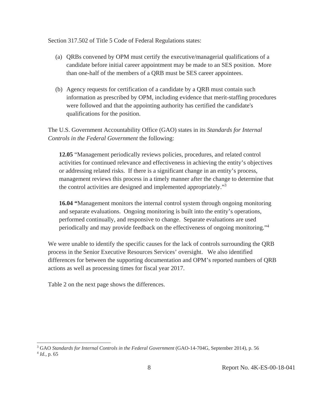Section 317.502 of Title 5 Code of Federal Regulations states:

- (a) QRBs convened by OPM must certify the executive/managerial qualifications of a candidate before initial career appointment may be made to an SES position. More than one-half of the members of a QRB must be SES career appointees.
- (b) Agency requests for certification of a candidate by a QRB must contain such information as prescribed by OPM, including evidence that merit-staffing procedures were followed and that the appointing authority has certified the candidate's qualifications for the position.

The U.S. Government Accountability Office (GAO) states in its *Standards for Internal Controls in the Federal Government* the following:

**12.05** "Management periodically reviews policies, procedures, and related control activities for continued relevance and effectiveness in achieving the entity's objectives or addressing related risks. If there is a significant change in an entity's process, management reviews this process in a timely manner after the change to determine that the control activities are designed and implemented appropriately."3

**16.04 "**Management monitors the internal control system through ongoing monitoring and separate evaluations. Ongoing monitoring is built into the entity's operations, performed continually, and responsive to change. Separate evaluations are used periodically and may provide feedback on the effectiveness of ongoing monitoring."4

We were unable to identify the specific causes for the lack of controls surrounding the QRB process in the Senior Executive Resources Services' oversight. We also identified differences for between the supporting documentation and OPM's reported numbers of QRB actions as well as processing times for fiscal year 2017.

Table 2 on the next page shows the differences.

 $\overline{a}$ 

<sup>&</sup>lt;sup>3</sup> GAO *Standards for Internal Controls in the Federal Government* (GAO-14-704G, September 2014), p. 56 <sup>4</sup> *Id.*, p. 65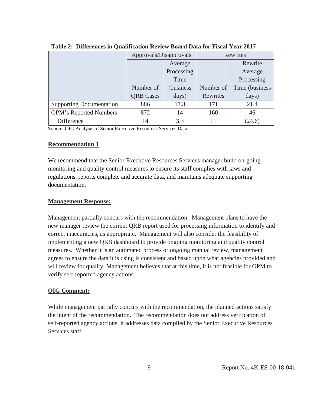|                                 | Approvals/Disapprovals |            | Rewrites  |                 |
|---------------------------------|------------------------|------------|-----------|-----------------|
|                                 |                        | Average    |           | Rewrite         |
|                                 |                        | Processing |           | Average         |
|                                 |                        | Time       |           | Processing      |
|                                 | Number of              | (business) | Number of | Time (business) |
|                                 | <b>QRB</b> Cases       | days)      | Rewrites  | days)           |
| <b>Supporting Documentation</b> | 886                    | 17.3       | 171       | 21.4            |
| <b>OPM's Reported Numbers</b>   | 872                    | 14         | 160       | 46              |
| Difference                      | 14                     | 3.3        | 11        | (24.6)          |

**Table 2: Differences in Qualification Review Board Data for Fiscal Year 2017** 

Source: OIG Analysis of Senior Executive Resources Services Data

#### **Recommendation 1**

We recommend that the Senior Executive Resources Services manager build on-going monitoring and quality control measures to ensure its staff complies with laws and regulations, reports complete and accurate data, and maintains adequate supporting documentation.

#### **Management Response:**

Management partially concurs with the recommendation. Management plans to have the new manager review the current QRB report used for processing information to identify and correct inaccuracies, as appropriate. Management will also consider the feasibility of implementing a new QRB dashboard to provide ongoing monitoring and quality control measures. Whether it is an automated process or ongoing manual review, management agrees to ensure the data it is using is consistent and based upon what agencies provided and will review for quality. Management believes that at this time, it is not feasible for OPM to verify self-reported agency actions.

#### **OIG Comment:**

While management partially concurs with the recommendation, the planned actions satisfy the intent of the recommendation. The recommendation does not address verification of self-reported agency actions, it addresses data compiled by the Senior Executive Resources Services staff.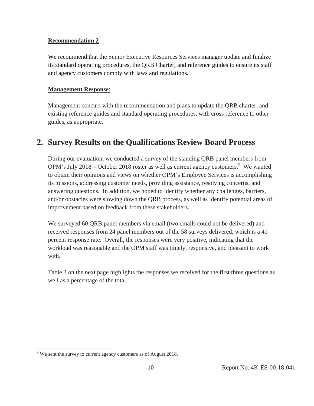#### <span id="page-12-0"></span>**Recommendation 2**

We recommend that the Senior Executive Resources Services manager update and finalize its standard operating procedures, the QRB Charter, and reference guides to ensure its staff and agency customers comply with laws and regulations.

#### **Management Response**:

Management concurs with the recommendation and plans to update the QRB charter, and existing reference guides and standard operating procedures, with cross reference to other guides, as appropriate.

#### **2. Survey Results on the Qualifications Review Board Process**

During our evaluation, we conducted a survey of the standing QRB panel members from OPM's July 2018 – October 2018 roster as well as current agency customers.<sup>5</sup> We wanted to obtain their opinions and views on whether OPM's Employee Services is accomplishing its missions, addressing customer needs, providing assistance, resolving concerns, and answering questions. In addition, we hoped to identify whether any challenges, barriers, and/or obstacles were slowing down the QRB process, as well as identify potential areas of improvement based on feedback from these stakeholders.

We surveyed 60 QRB panel members via email (two emails could not be delivered) and received responses from 24 panel members out of the 58 surveys delivered, which is a 41 percent response rate. Overall, the responses were very positive, indicating that the workload was reasonable and the OPM staff was timely, responsive, and pleasant to work with.

Table 3 on the next page highlights the responses we received for the first three questions as well as a percentage of the total.

 $\overline{a}$ 

 $5$  We sent the survey to current agency customers as of August 2018.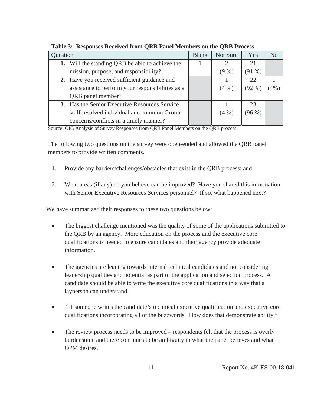| Question |                                                      |  | Not Sure | Yes         | N <sub>0</sub> |
|----------|------------------------------------------------------|--|----------|-------------|----------------|
|          | 1. Will the standing QRB be able to achieve the      |  | 2        | 21          |                |
|          | mission, purpose, and responsibility?                |  | $(9\%)$  | $(91\% )$   |                |
|          | 2. Have you received sufficient guidance and         |  |          | 22          |                |
|          | assistance to perform your responsibilities as a     |  | $(4\%)$  | (92 %       | (4% )          |
|          | QRB panel member?                                    |  |          |             |                |
|          | <b>3.</b> Has the Senior Executive Resources Service |  |          | 23          |                |
|          | staff resolved individual and common Group           |  | (4%)     | $(96\,\% )$ |                |
|          | concerns/conflicts in a timely manner?               |  |          |             |                |

**Table 3: Responses Received from QRB Panel Members on the QRB Process** 

Source: OIG Analysis of Survey Responses from QRB Panel Members on the QRB process

The following two questions on the survey were open-ended and allowed the QRB panel members to provide written comments.

- 1. Provide any barriers/challenges/obstacles that exist in the QRB process; and
- 2. What areas (if any) do you believe can be improved? Have you shared this information with Senior Executive Resources Services personnel? If so, what happened next?

We have summarized their responses to these two questions below:

- The biggest challenge mentioned was the quality of some of the applications submitted to the QRB by an agency. More education on the process and the executive core qualifications is needed to ensure candidates and their agency provide adequate information.
- The agencies are leaning towards internal technical candidates and not considering leadership qualities and potential as part of the application and selection process. A candidate should be able to write the executive core qualifications in a way that a layperson can understand.
- "If someone writes the candidate's technical executive qualification and executive core qualifications incorporating all of the buzzwords. How does that demonstrate ability."
- The review process needs to be improved respondents felt that the process is overly burdensome and there continues to be ambiguity in what the panel believes and what OPM desires.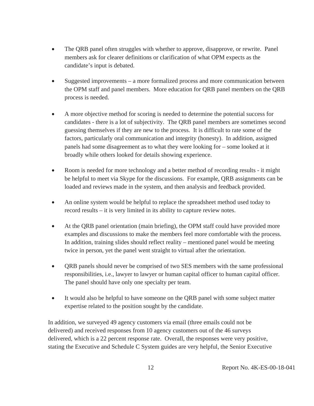- The QRB panel often struggles with whether to approve, disapprove, or rewrite. Panel members ask for clearer definitions or clarification of what OPM expects as the candidate's input is debated.
- Suggested improvements a more formalized process and more communication between the OPM staff and panel members. More education for QRB panel members on the QRB process is needed.
- $\bullet$  A more objective method for scoring is needed to determine the potential success for candidates - there is a lot of subjectivity. The QRB panel members are sometimes second guessing themselves if they are new to the process. It is difficult to rate some of the factors, particularly oral communication and integrity (honesty). In addition, assigned panels had some disagreement as to what they were looking for – some looked at it broadly while others looked for details showing experience.
- Room is needed for more technology and a better method of recording results it might be helpful to meet via Skype for the discussions. For example, QRB assignments can be loaded and reviews made in the system, and then analysis and feedback provided.
- An online system would be helpful to replace the spreadsheet method used today to record results – it is very limited in its ability to capture review notes.
- $\bullet$  At the ORB panel orientation (main briefing), the OPM staff could have provided more examples and discussions to make the members feel more comfortable with the process. In addition, training slides should reflect reality – mentioned panel would be meeting twice in person, yet the panel went straight to virtual after the orientation.
- QRB panels should never be comprised of two SES members with the same professional responsibilities, i.e., lawyer to lawyer or human capital officer to human capital officer. The panel should have only one specialty per team.
- It would also be helpful to have someone on the QRB panel with some subject matter expertise related to the position sought by the candidate.

In addition, we surveyed 49 agency customers via email (three emails could not be delivered) and received responses from 10 agency customers out of the 46 surveys delivered, which is a 22 percent response rate. Overall, the responses were very positive, stating the Executive and Schedule C System guides are very helpful, the Senior Executive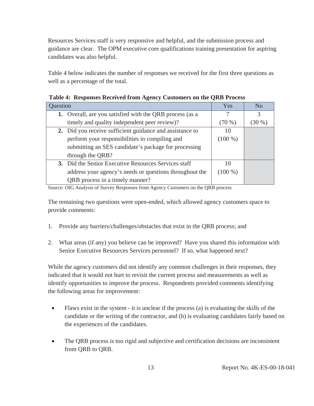Resources Services staff is very responsive and helpful, and the submission process and guidance are clear. The OPM executive core qualifications training presentation for aspiring candidates was also helpful.

Table 4 below indicates the number of responses we received for the first three questions as well as a percentage of the total.

| Question |                                                          | Yes       | N <sub>0</sub> |
|----------|----------------------------------------------------------|-----------|----------------|
|          | 1. Overall, are you satisfied with the QRB process (as a |           | 3              |
|          | timely and quality independent peer review)?             | $(70\%)$  | $(30\%)$       |
|          | 2. Did you receive sufficient guidance and assistance to | 10        |                |
|          | perform your responsibilities in compiling and           | $(100\%)$ |                |
|          | submitting an SES candidate's package for processing     |           |                |
|          | through the QRB?                                         |           |                |
|          | 3. Did the Senior Executive Resources Services staff     | 10        |                |
|          | address your agency's needs or questions throughout the  | $(100\%)$ |                |
|          | QRB process in a timely manner?                          |           |                |

|  | Table 4: Responses Received from Agency Customers on the QRB Process |  |  |  |  |  |  |  |
|--|----------------------------------------------------------------------|--|--|--|--|--|--|--|
|--|----------------------------------------------------------------------|--|--|--|--|--|--|--|

Source: OIG Analysis of Survey Responses from Agency Customers on the QRB process

The remaining two questions were open-ended, which allowed agency customers space to provide comments:

- 1. Provide any barriers/challenges/obstacles that exist in the QRB process; and
- 2. What areas (if any) you believe can be improved? Have you shared this information with Senior Executive Resources Services personnel? If so, what happened next?

While the agency customers did not identify any common challenges in their responses, they indicated that it would not hurt to revisit the current process and measurements as well as identify opportunities to improve the process. Respondents provided comments identifying the following areas for improvement:

- $\bullet$  Flaws exist in the system it is unclear if the process (a) is evaluating the skills of the candidate or the writing of the contractor, and (b) is evaluating candidates fairly based on the experiences of the candidates.
- The QRB process is too rigid and subjective and certification decisions are inconsistent from QRB to QRB.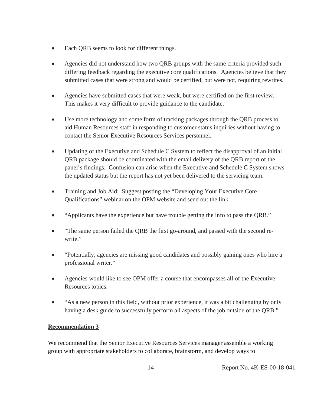- Each QRB seems to look for different things.
- Agencies did not understand how two QRB groups with the same criteria provided such differing feedback regarding the executive core qualifications. Agencies believe that they submitted cases that were strong and would be certified, but were not, requiring rewrites.
- Agencies have submitted cases that were weak, but were certified on the first review. This makes it very difficult to provide guidance to the candidate.
- Use more technology and some form of tracking packages through the QRB process to aid Human Resources staff in responding to customer status inquiries without having to contact the Senior Executive Resources Services personnel.
- Updating of the Executive and Schedule C System to reflect the disapproval of an initial QRB package should be coordinated with the email delivery of the QRB report of the panel's findings. Confusion can arise when the Executive and Schedule C System shows the updated status but the report has not yet been delivered to the servicing team.
- Training and Job Aid: Suggest posting the "Developing Your Executive Core" Qualifications" webinar on the OPM website and send out the link.
- "Applicants have the experience but have trouble getting the info to pass the QRB."
- "The same person failed the QRB the first go-around, and passed with the second rewrite."
- "Potentially, agencies are missing good candidates and possibly gaining ones who hire a professional writer."
- Agencies would like to see OPM offer a course that encompasses all of the Executive Resources topics.
- "As a new person in this field, without prior experience, it was a bit challenging by only having a desk guide to successfully perform all aspects of the job outside of the QRB."

#### **Recommendation 3**

We recommend that the Senior Executive Resources Services manager assemble a working group with appropriate stakeholders to collaborate, brainstorm, and develop ways to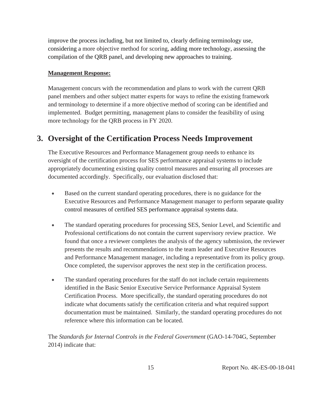<span id="page-17-0"></span>improve the process including, but not limited to, clearly defining terminology use, considering a more objective method for scoring, adding more technology, assessing the compilation of the QRB panel, and developing new approaches to training.

#### **Management Response:**

Management concurs with the recommendation and plans to work with the current QRB panel members and other subject matter experts for ways to refine the existing framework and terminology to determine if a more objective method of scoring can be identified and implemented. Budget permitting, management plans to consider the feasibility of using more technology for the QRB process in FY 2020.

#### **3. Oversight of the Certification Process Needs Improvement**

The Executive Resources and Performance Management group needs to enhance its oversight of the certification process for SES performance appraisal systems to include appropriately documenting existing quality control measures and ensuring all processes are documented accordingly. Specifically, our evaluation disclosed that:

- Based on the current standard operating procedures, there is no guidance for the Executive Resources and Performance Management manager to perform separate quality control measures of certified SES performance appraisal systems data.
- The standard operating procedures for processing SES, Senior Level, and Scientific and Professional certifications do not contain the current supervisory review practice. We found that once a reviewer completes the analysis of the agency submission, the reviewer presents the results and recommendations to the team leader and Executive Resources and Performance Management manager, including a representative from its policy group. Once completed, the supervisor approves the next step in the certification process.
- The standard operating procedures for the staff do not include certain requirements identified in the Basic Senior Executive Service Performance Appraisal System Certification Process. More specifically, the standard operating procedures do not indicate what documents satisfy the certification criteria and what required support documentation must be maintained. Similarly, the standard operating procedures do not reference where this information can be located.

The *Standards for Internal Controls in the Federal Government* (GAO-14-704G, September 2014) indicate that: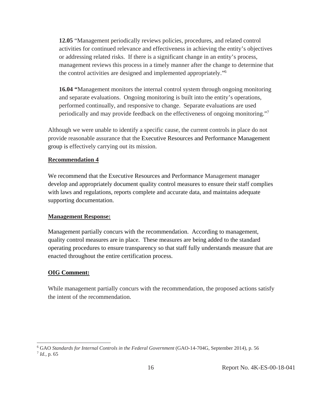**12.05** "Management periodically reviews policies, procedures, and related control activities for continued relevance and effectiveness in achieving the entity's objectives or addressing related risks. If there is a significant change in an entity's process, management reviews this process in a timely manner after the change to determine that the control activities are designed and implemented appropriately."6

**16.04 "**Management monitors the internal control system through ongoing monitoring and separate evaluations. Ongoing monitoring is built into the entity's operations, performed continually, and responsive to change. Separate evaluations are used periodically and may provide feedback on the effectiveness of ongoing monitoring."7

Although we were unable to identify a specific cause, the current controls in place do not provide reasonable assurance that the Executive Resources and Performance Management group is effectively carrying out its mission.

#### **Recommendation 4**

We recommend that the Executive Resources and Performance Management manager develop and appropriately document quality control measures to ensure their staff complies with laws and regulations, reports complete and accurate data, and maintains adequate supporting documentation.

#### **Management Response:**

Management partially concurs with the recommendation. According to management, quality control measures are in place. These measures are being added to the standard operating procedures to ensure transparency so that staff fully understands measure that are enacted throughout the entire certification process.

#### **OIG Comment:**

 $\overline{a}$ 

While management partially concurs with the recommendation, the proposed actions satisfy the intent of the recommendation.

<sup>&</sup>lt;sup>6</sup> GAO *Standards for Internal Controls in the Federal Government* (GAO-14-704G, September 2014), p. 56 <sup>7</sup> *Id.*, p. 65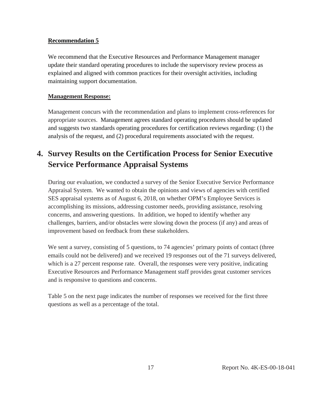#### <span id="page-19-0"></span>**Recommendation 5**

We recommend that the Executive Resources and Performance Management manager update their standard operating procedures to include the supervisory review process as explained and aligned with common practices for their oversight activities, including maintaining support documentation.

#### **Management Response:**

Management concurs with the recommendation and plans to implement cross-references for appropriate sources. Management agrees standard operating procedures should be updated and suggests two standards operating procedures for certification reviews regarding: (1) the analysis of the request, and (2) procedural requirements associated with the request.

### **4. Survey Results on the Certification Process for Senior Executive Service Performance Appraisal Systems**

During our evaluation, we conducted a survey of the Senior Executive Service Performance Appraisal System. We wanted to obtain the opinions and views of agencies with certified SES appraisal systems as of August 6, 2018, on whether OPM's Employee Services is accomplishing its missions, addressing customer needs, providing assistance, resolving concerns, and answering questions. In addition, we hoped to identify whether any challenges, barriers, and/or obstacles were slowing down the process (if any) and areas of improvement based on feedback from these stakeholders.

We sent a survey, consisting of 5 questions, to 74 agencies' primary points of contact (three emails could not be delivered) and we received 19 responses out of the 71 surveys delivered, which is a 27 percent response rate. Overall, the responses were very positive, indicating Executive Resources and Performance Management staff provides great customer services and is responsive to questions and concerns.

Table 5 on the next page indicates the number of responses we received for the first three questions as well as a percentage of the total.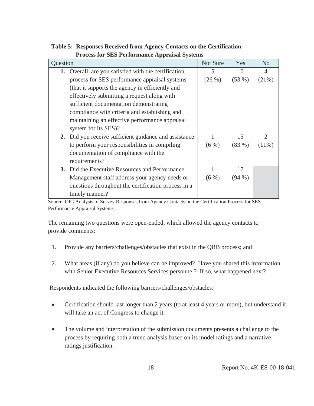| Question |                                                       | Not Sure | Yes       | N <sub>o</sub> |
|----------|-------------------------------------------------------|----------|-----------|----------------|
|          | 1. Overall, are you satisfied with the certification  | 5        | 10        | $\Delta$       |
|          | process for SES performance appraisal systems         | (26%)    | (53%)     | (21%)          |
|          | (that it supports the agency in efficiently and       |          |           |                |
|          | effectively submitting a request along with           |          |           |                |
|          | sufficient documentation demonstrating                |          |           |                |
|          | compliance with criteria and establishing and         |          |           |                |
|          | maintaining an effective performance appraisal        |          |           |                |
|          | system for its SES)?                                  |          |           |                |
|          | 2. Did you receive sufficient guidance and assistance |          | 15        | $\overline{2}$ |
|          | to perform your responsibilities in compiling         | $(6\%)$  | (83%)     | $(11\%)$       |
|          | documentation of compliance with the                  |          |           |                |
|          | requirements?                                         |          |           |                |
|          | 3. Did the Executive Resources and Performance        |          | 17        |                |
|          | Management staff address your agency needs or         | $(6\%)$  | $(94\% )$ |                |
|          | questions throughout the certification process in a   |          |           |                |
|          | timely manner?                                        |          |           |                |

**Table 5: Responses Received from Agency Contacts on the Certification Process for SES Performance Appraisal Systems** 

Source: OIG Analysis of Survey Responses from Agency Contacts on the Certification Process for SES Performance Appraisal Systems

The remaining two questions were open-ended, which allowed the agency contacts to provide comments:

- 1. Provide any barriers/challenges/obstacles that exist in the QRB process; and
- 2. What areas (if any) do you believe can be improved? Have you shared this information with Senior Executive Resources Services personnel? If so, what happened next?

Respondents indicated the following barriers/challenges/obstacles:

- Certification should last longer than 2 years (to at least 4 years or more), but understand it will take an act of Congress to change it.
- The volume and interpretation of the submission documents presents a challenge to the process by requiring both a trend analysis based on its model ratings and a narrative ratings justification.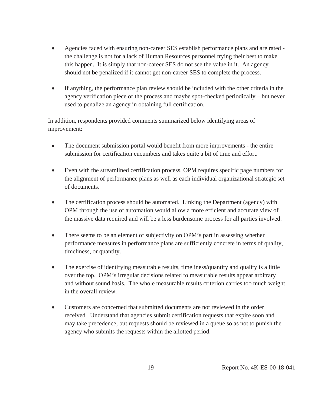- Agencies faced with ensuring non-career SES establish performance plans and are rated the challenge is not for a lack of Human Resources personnel trying their best to make this happen. It is simply that non-career SES do not see the value in it. An agency should not be penalized if it cannot get non-career SES to complete the process.
- If anything, the performance plan review should be included with the other criteria in the agency verification piece of the process and maybe spot-checked periodically – but never used to penalize an agency in obtaining full certification.

In addition, respondents provided comments summarized below identifying areas of improvement:

- The document submission portal would benefit from more improvements the entire submission for certification encumbers and takes quite a bit of time and effort.
- Even with the streamlined certification process, OPM requires specific page numbers for the alignment of performance plans as well as each individual organizational strategic set of documents.
- $\bullet$  The certification process should be automated. Linking the Department (agency) with OPM through the use of automation would allow a more efficient and accurate view of the massive data required and will be a less burdensome process for all parties involved.
- $\bullet$  There seems to be an element of subjectivity on OPM's part in assessing whether performance measures in performance plans are sufficiently concrete in terms of quality, timeliness, or quantity.
- $\bullet$  The exercise of identifying measurable results, timeliness/quantity and quality is a little over the top. OPM's irregular decisions related to measurable results appear arbitrary and without sound basis. The whole measurable results criterion carries too much weight in the overall review.
- Customers are concerned that submitted documents are not reviewed in the order received. Understand that agencies submit certification requests that expire soon and may take precedence, but requests should be reviewed in a queue so as not to punish the agency who submits the requests within the allotted period.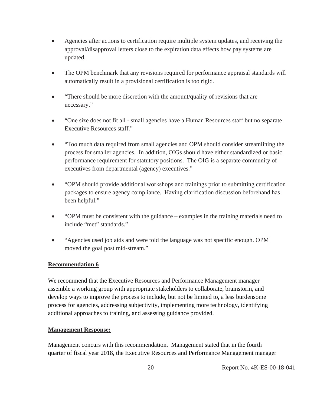- Agencies after actions to certification require multiple system updates, and receiving the approval/disapproval letters close to the expiration data effects how pay systems are updated.
- The OPM benchmark that any revisions required for performance appraisal standards will automatically result in a provisional certification is too rigid.
- x "There should be more discretion with the amount/quality of revisions that are necessary."
- "One size does not fit all small agencies have a Human Resources staff but no separate Executive Resources staff."
- "Too much data required from small agencies and OPM should consider streamlining the process for smaller agencies. In addition, OIGs should have either standardized or basic performance requirement for statutory positions. The OIG is a separate community of executives from departmental (agency) executives."
- "OPM should provide additional workshops and trainings prior to submitting certification packages to ensure agency compliance. Having clarification discussion beforehand has been helpful."
- $\bullet$  "OPM must be consistent with the guidance examples in the training materials need to include "met" standards."
- "Agencies used job aids and were told the language was not specific enough. OPM moved the goal post mid-stream."

#### **Recommendation 6**

We recommend that the Executive Resources and Performance Management manager assemble a working group with appropriate stakeholders to collaborate, brainstorm, and develop ways to improve the process to include, but not be limited to, a less burdensome process for agencies, addressing subjectivity, implementing more technology, identifying additional approaches to training, and assessing guidance provided.

#### **Management Response:**

Management concurs with this recommendation. Management stated that in the fourth quarter of fiscal year 2018, the Executive Resources and Performance Management manager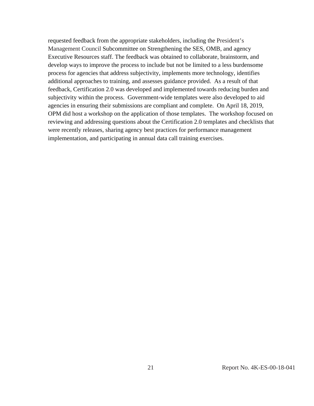requested feedback from the appropriate stakeholders, including the President's Management Council Subcommittee on Strengthening the SES, OMB, and agency Executive Resources staff. The feedback was obtained to collaborate, brainstorm, and develop ways to improve the process to include but not be limited to a less burdensome process for agencies that address subjectivity, implements more technology, identifies additional approaches to training, and assesses guidance provided. As a result of that feedback, Certification 2.0 was developed and implemented towards reducing burden and subjectivity within the process. Government-wide templates were also developed to aid agencies in ensuring their submissions are compliant and complete. On April 18, 2019, OPM did host a workshop on the application of those templates. The workshop focused on reviewing and addressing questions about the Certification 2.0 templates and checklists that were recently releases, sharing agency best practices for performance management implementation, and participating in annual data call training exercises.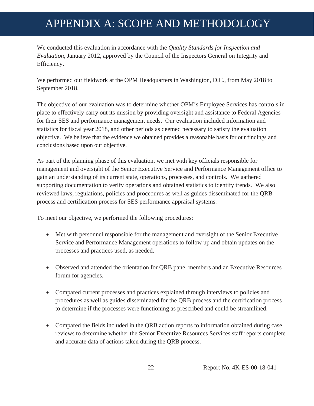## <span id="page-24-0"></span>APPENDIX A: SCOPE AND METHODOLOGY

We conducted this evaluation in accordance with the *Quality Standards for Inspection and Evaluation*, January 2012, approved by the Council of the Inspectors General on Integrity and Efficiency.

We performed our fieldwork at the OPM Headquarters in Washington, D.C., from May 2018 to September 2018.

The objective of our evaluation was to determine whether OPM's Employee Services has controls in place to effectively carry out its mission by providing oversight and assistance to Federal Agencies for their SES and performance management needs. Our evaluation included information and statistics for fiscal year 2018, and other periods as deemed necessary to satisfy the evaluation objective. We believe that the evidence we obtained provides a reasonable basis for our findings and conclusions based upon our objective.

As part of the planning phase of this evaluation, we met with key officials responsible for management and oversight of the Senior Executive Service and Performance Management office to gain an understanding of its current state, operations, processes, and controls. We gathered supporting documentation to verify operations and obtained statistics to identify trends. We also reviewed laws, regulations, policies and procedures as well as guides disseminated for the QRB process and certification process for SES performance appraisal systems.

To meet our objective, we performed the following procedures:

- Met with personnel responsible for the management and oversight of the Senior Executive Service and Performance Management operations to follow up and obtain updates on the processes and practices used, as needed.
- Observed and attended the orientation for QRB panel members and an Executive Resources forum for agencies.
- Compared current processes and practices explained through interviews to policies and procedures as well as guides disseminated for the QRB process and the certification process to determine if the processes were functioning as prescribed and could be streamlined.
- Compared the fields included in the QRB action reports to information obtained during case reviews to determine whether the Senior Executive Resources Services staff reports complete and accurate data of actions taken during the QRB process.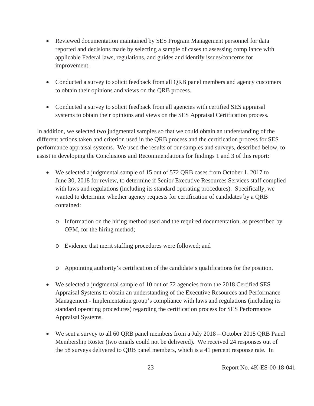- Reviewed documentation maintained by SES Program Management personnel for data reported and decisions made by selecting a sample of cases to assessing compliance with applicable Federal laws, regulations, and guides and identify issues/concerns for improvement.
- Conducted a survey to solicit feedback from all QRB panel members and agency customers to obtain their opinions and views on the QRB process.
- Conducted a survey to solicit feedback from all agencies with certified SES appraisal systems to obtain their opinions and views on the SES Appraisal Certification process.

In addition, we selected two judgmental samples so that we could obtain an understanding of the different actions taken and criterion used in the QRB process and the certification process for SES performance appraisal systems. We used the results of our samples and surveys, described below, to assist in developing the Conclusions and Recommendations for findings 1 and 3 of this report:

- $\bullet$  We selected a judgmental sample of 15 out of 572 QRB cases from October 1, 2017 to June 30, 2018 for review, to determine if Senior Executive Resources Services staff complied with laws and regulations (including its standard operating procedures). Specifically, we wanted to determine whether agency requests for certification of candidates by a QRB contained:
	- o Information on the hiring method used and the required documentation, as prescribed by OPM, for the hiring method;
	- o Evidence that merit staffing procedures were followed; and
	- o Appointing authority's certification of the candidate's qualifications for the position.
- $\bullet$  We selected a judgmental sample of 10 out of 72 agencies from the 2018 Certified SES Appraisal Systems to obtain an understanding of the Executive Resources and Performance Management - Implementation group's compliance with laws and regulations (including its standard operating procedures) regarding the certification process for SES Performance Appraisal Systems.
- $\bullet$  We sent a survey to all 60 QRB panel members from a July 2018 October 2018 QRB Panel Membership Roster (two emails could not be delivered). We received 24 responses out of the 58 surveys delivered to QRB panel members, which is a 41 percent response rate. In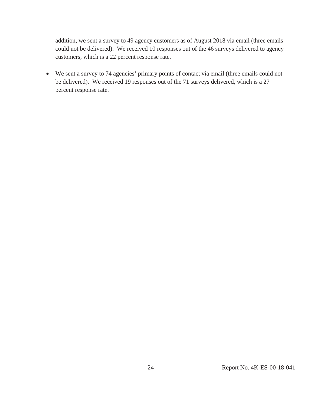addition, we sent a survey to 49 agency customers as of August 2018 via email (three emails could not be delivered). We received 10 responses out of the 46 surveys delivered to agency customers, which is a 22 percent response rate.

• We sent a survey to 74 agencies' primary points of contact via email (three emails could not be delivered). We received 19 responses out of the 71 surveys delivered, which is a 27 percent response rate.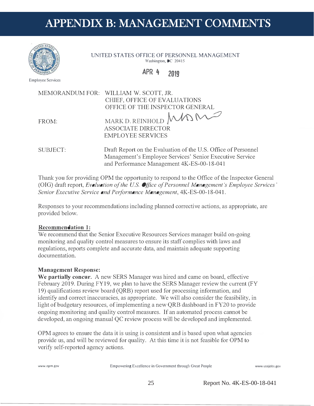## APPENDIX B: MANAGEMENT COMMENTS



**UNITED STATES OFFICE OF PERSONNEL MANAGEMENT** Washington, DC 20415

#### **APR 4 2019**

Employee Services



and Performance Management 4K-ES-00-18-041

Thank you for providing OPM the opportunity to respond to the Office of the Inspector General (OIG) draft report, *Evaluation of the US. Office of Personnel Management's Employee Services' Senior Executive Service and Performance Management,* 4K-ES-00-18-041.

Responses to your recommendations including planned corrective actions, as appropriate, are provided below.

#### **Recommendation 1:**

We recommend that the Senior Executive Resources Services manager build on-going monitoring and quality control measures to ensure its staff complies with laws and regulations, reports complete and accurate data, and maintain adequate supporting documentation.

#### **Management Response:**

**We partially concur.** A new SERS Manager was hired and came on board, effective February 2019. During FY19, we plan to have the SERS Manager review the current (FY 19) qualifications review board (QRB) report used for processing information, and identify and correct inaccuracies, as appropriate. We will also consider the feasibility, in light of budgetary resources, of implementing a new QRB dashboard in FY20 to provide ongoing monitoring and quality control measures. If an automated process cannot be developed, an ongoing manual QC review process will be developed and implemented.

OPM agrees to ensure the data it is using is consistent and is based upon what agencies provide us, and will be reviewed for quality. At this time it is not feasible for OPM to verify self-reported agency actions.

**www.opm.gov** Empowering Excellence in Government through Great People www.usajobs.gov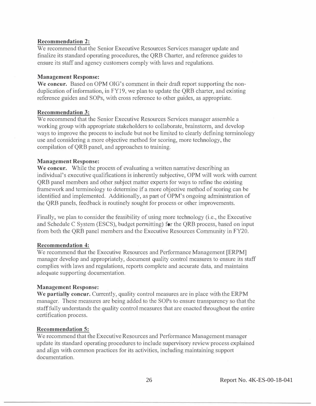#### **Recommendation 2:**

We recommend that the Senior Executive Resources Services manager update and finalize its standard operating procedures, the QRB Charter, and reference guides to ensure its staff and agency customers comply with laws and regulations.

#### **Management Response:**

We concur. Based on OPM OIG's comment in their draft report supporting the nonduplication of information, in FY19, we plan to update the QRB charter, and existing reference guides and SOPs, with cross reference to other guides, as appropriate.

#### **Recommendation 3:**

We recommend that the Senior Executive Resources Services manager assemble a working group with appropriate stakeholders to collaborate, brainstorm, and develop ·ways to improve the process to include but not be limited to clearly defining terminology use and considering a more objective method for scoring, more technology, the compilation of QRB panel, and approaches to training.

#### **Management Response:**

**We concur.** While the process of evaluating a written narrative describing an individual's executive qualifications is inherently subjective, OPM will work with current QRB panel members and other subject matter experts for ways to refine the existing framework and terminology to determine if a more objective method of scoring can be identified and implemented. Additionally, as part of OPM's ongoing administration of the QRB panels, feedback is routinely sought for process or other improvements.

Finally, we plan to consider the feasibility of using more technology (i.e., the Executive and Schedule C System (ESCS), budget permitting) for the QRB process, based on input from both the QRB panel members and the Executive Resources Community in FY20.

#### **Recommendation 4:**

We recommend that the Executive Resources and Performance Management [ERPM] manager develop and appropriately, document quality control measures to ensure its staff complies with laws and regulations, reports complete and accurate data, and maintains adequate supporting documentation.

#### **Management Response:**

**We partially concur.** Currently, quality control measures are in place with the ERPM manager. These measures are being added to the SOPs to ensure transparency so that the staff fully understands the quality control measures that are enacted throughout the entire certification process.

#### **Recommendation 5:**

We recommend that the Executive Resources and Performance Management manager update its standard operating procedures to include supervisory review process explained and align with common practices for its activities, including maintaining support documentation.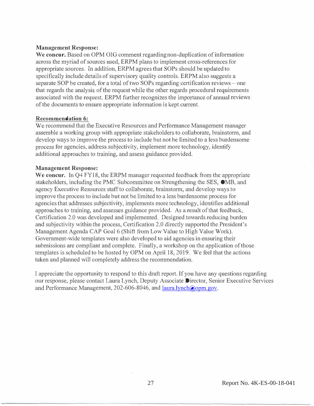#### **Management Response:**

We concur. Based on OPM OIG comment regarding non-duplication of information across the myriad of sources used, ERPM plans to implement cross-references for appropriate sources. In addition, ERPM agrees that SOPs should be updated to specifically include details of supervisory quality controls. ERPM also suggests a separate SOP be created, for a total of two SOPs regarding certification reviews  $-$  one that regards the analysis of the request while the other regards procedural requirements associated with the request. ERPM further recognizes the importance of annual reviews of the documents to ensure appropriate information is kept current.

#### **Recommendation 6:**

We recommend that the Executive Resources and Performance Management manager assemble a working group with appropriate stakeholders to collaborate, brainstorm, and develop ways to improve the processto include but not be limited to a less burdensome process for agencies, address subjectivity, implement more technology, identify additional approaches to training, and assess guidance provided.

#### **Management Response:**

**We concur.** In Q4 FY18, the ERPM manager requested feedback from the appropriate stakeholders, including the PMC Subcommittee on Strengthening the SES, 0MB, and agency Executive Resources staffto collaborate, brainstorm, and develop waysto improve the process to include but not be limited to a less burdensome process for agenciesthat addresses subjectivity, implements more technology, identifies additional approaches to training, and assesses guidance provided. As a result of that feedback, Certification 2.0 was developed and implemented. Designed towards reducing burden and subjectivity within the process, Certification 2.0 directly supported the President's Management Agenda CAP Goal 6 (Shift from Low Value to High Value Work). Government-wide templates were also developed to aid agencies in ensuring their submissions are compliant and complete. Finally, a workshop on the application of those templates is scheduled to be hosted by OPM on April 18, 2019. We feel that the actions taken and planned will completely address the recommendation.

I appreciate the opportunity to respond to this draft report. Ifyou have any questions regarding our response, please contact Laura Lynch, Deputy Associate Director, Senior Executive Services and Performance Management, 202-606-8046, and [laura.lynch@opm.gov.](mailto:laura.lynch@opm.gov)